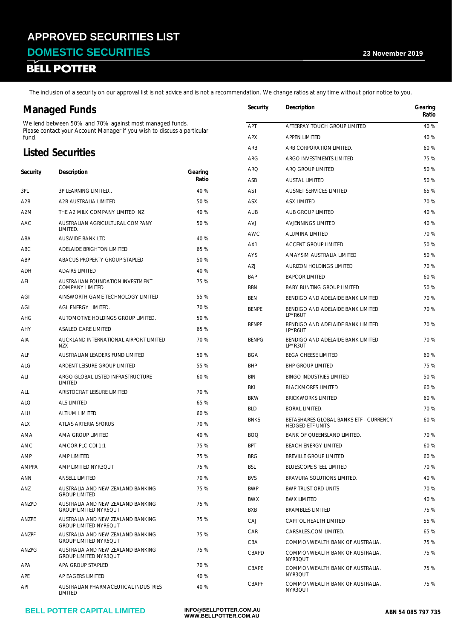**DOMESTIC SECURITIES** 23 November 2019<br> **BELL POTTER** 

The inclusion of a security on our approval list is not advice and is not a recommendation. We change ratios at any time without prior notice to you.

### **Managed Funds**

We lend between 50% and 70% against most managed funds. Please contact your Account Manager if you wish to discuss a particular fund.

### **Listed Securities**

| Security         | Description                                                       | Gearing<br>Ratio | ANU<br>ASB               |
|------------------|-------------------------------------------------------------------|------------------|--------------------------|
| 3PL              | 3P LEARNING LIMITED                                               | 40 %             | <b>AST</b>               |
| A2B              | A2B AUSTRALIA LIMITED                                             | 50 %             | ASX                      |
| A <sub>2</sub> M | THE A2 MILK COMPANY LIMITED NZ                                    | 40 %             | <b>AUB</b>               |
| AAC              | AUSTRALIAN AGRICULTURAL COMPANY<br>LIMITED.                       | 50 %             | <b>AVJ</b>               |
| ABA              | AUSWIDE BANK LTD                                                  | 40 %             | <b>AWC</b>               |
| <b>ABC</b>       | ADELAIDE BRIGHTON LIMITED                                         | 65 %             | AX1                      |
| ABP              | ABACUS PROPERTY GROUP STAPLED                                     | 50 %             | AYS                      |
| <b>ADH</b>       | <b>ADAIRS LIMITED</b>                                             | 40 %             | AZJ                      |
| AFI              | AUSTRALIAN FOUNDATION INVESTMENT<br><b>COMPANY LIMITED</b>        | 75 %             | <b>BAP</b><br><b>BBN</b> |
| AGI              | AINSWORTH GAME TECHNOLOGY LIMITED                                 | 55 %             | <b>BEN</b>               |
| AGL              | AGL ENERGY LIMITED.                                               | 70 %             | <b>BENPE</b>             |
| AHG              | AUTOMOTIVE HOLDINGS GROUP LIMITED.                                | 50 %             |                          |
| <b>AHY</b>       | ASALEO CARE LIMITED                                               | 65 %             | <b>BENPF</b>             |
| AIA              | AUCKLAND INTERNATIONAL AIRPORT LIMITED<br><b>NZX</b>              | 70 %             | <b>BENPG</b>             |
| <b>ALF</b>       | AUSTRALIAN LEADERS FUND LIMITED                                   | 50 %             | <b>BGA</b>               |
| <b>ALG</b>       | ARDENT LEISURE GROUP LIMITED                                      | 55 %             | <b>BHP</b>               |
| ALI              | ARGO GLOBAL LISTED INFRASTRUCTURE<br><b>LIMITED</b>               | 60 %             | <b>BIN</b>               |
| <b>ALL</b>       | ARISTOCRAT LEISURE LIMITED                                        | 70 %             | <b>BKL</b>               |
| <b>ALQ</b>       | <b>ALS LIMITED</b>                                                | 65 %             | <b>BKW</b>               |
| ALU              | <b>ALTIUM LIMITED</b>                                             | 60 %             | <b>BLD</b>               |
| <b>ALX</b>       | ATLAS ARTERIA SFORUS                                              | 70 %             | <b>BNKS</b>              |
| AMA              | AMA GROUP LIMITED                                                 | 40 %             | <b>BOQ</b>               |
| AMC              | AMCOR PLC CDI 1:1                                                 | 75 %             | <b>BPT</b>               |
| AMP              | AMP LIMITED                                                       | 75 %             | <b>BRG</b>               |
| <b>AMPPA</b>     | AMP LIMITED NYR3QUT                                               | 75 %             | <b>BSL</b>               |
| ANN              | <b>ANSELL LIMITED</b>                                             | 70 %             | <b>BVS</b>               |
| ANZ              | AUSTRALIA AND NEW ZEALAND BANKING<br><b>GROUP LIMITED</b>         | 75 %             | <b>BWP</b>               |
| <b>ANZPD</b>     | AUSTRALIA AND NEW ZEALAND BANKING<br>GROUP LIMITED NYR6QUT        | 75 %             | <b>BWX</b><br>BXB        |
| ANZPE            | AUSTRALIA AND NEW ZEALAND BANKING<br><b>GROUP LIMITED NYR6QUT</b> | 75 %             | CAJ                      |
| ANZPF            | AUSTRALIA AND NEW ZEALAND BANKING<br><b>GROUP LIMITED NYR6QUT</b> | 75 %             | CAR<br>CBA               |
| ANZPG            | AUSTRALIA AND NEW ZEALAND BANKING<br>GROUP LIMITED NYR3QUT        | 75 %             | CBAPD                    |
| APA              | APA GROUP STAPLED                                                 | 70 %             | CBAPE                    |
| <b>APE</b>       | AP EAGERS LIMITED                                                 | 40 %             |                          |
| API              | AUSTRALIAN PHARMACEUTICAL INDUSTRIES<br><b>LIMITED</b>            | 40 %             | CBAPF                    |

| Security     | Description                                                       | Gearing<br>Ratio |
|--------------|-------------------------------------------------------------------|------------------|
| APT          | AFTERPAY TOUCH GROUP LIMITED                                      | 40 %             |
| <b>APX</b>   | <b>APPEN LIMITED</b>                                              | 40 %             |
| ARB          | ARB CORPORATION LIMITED.                                          | 60 %             |
| ARG          | ARGO INVESTMENTS LIMITED                                          | 75 %             |
| ARQ          | ARQ GROUP LIMITED                                                 | 50 %             |
| ASB          | <b>AUSTAL LIMITED</b>                                             | 50 %             |
| AST          | <b>AUSNET SERVICES LIMITED</b>                                    | 65 %             |
| ASX          | <b>ASX LIMITED</b>                                                | 70 %             |
| <b>AUB</b>   | AUB GROUP LIMITED                                                 | 40%              |
| <b>AVJ</b>   | <b>AVJENNINGS LIMITED</b>                                         | 40 %             |
| AWC          | <b>ALUMINA LIMITED</b>                                            | 70 %             |
| AX1          | <b>ACCENT GROUP LIMITED</b>                                       | 50 %             |
| AYS          | AMAYSIM AUSTRALIA LIMITED                                         | 50 %             |
| AZJ          | AURIZON HOLDINGS LIMITED                                          | 70 %             |
| <b>BAP</b>   | <b>BAPCOR LIMITED</b>                                             | 60 %             |
| <b>BBN</b>   | <b>BABY BUNTING GROUP LIMITED</b>                                 | 50 %             |
| <b>BEN</b>   | BENDIGO AND ADELAIDE BANK LIMITED                                 | 70 %             |
| <b>BENPE</b> | BENDIGO AND ADELAIDE BANK LIMITED<br><b>LPYR6UT</b>               | 70 %             |
| <b>BENPF</b> | BENDIGO AND ADELAIDE BANK LIMITED<br>LPYR6UT                      | 70 %             |
| <b>BENPG</b> | BENDIGO AND ADELAIDE BANK LIMITED<br>LPYR3UT                      | 70 %             |
| <b>BGA</b>   | <b>BEGA CHEESE LIMITED</b>                                        | 60 %             |
| <b>BHP</b>   | <b>BHP GROUP LIMITED</b>                                          | 75 %             |
| <b>BIN</b>   | <b>BINGO INDUSTRIES LIMITED</b>                                   | 50 %             |
| BKL          | <b>BLACKMORES LIMITED</b>                                         | 60 %             |
| <b>BKW</b>   | <b>BRICKWORKS LIMITED</b>                                         | 60 %             |
| <b>BLD</b>   | <b>BORAL LIMITED.</b>                                             | 70 %             |
| <b>BNKS</b>  | BETASHARES GLOBAL BANKS ETF - CURRENCY<br><b>HEDGED FTF UNITS</b> | 60 %             |
| BOO          | BANK OF QUEENSLAND LIMITED                                        | 70 %             |
| BPT          | BEACH ENERGY LIMITED                                              | 60%              |
| <b>BRG</b>   | <b>BREVILLE GROUP LIMITED</b>                                     | 60 %             |
| <b>BSL</b>   | <b>BLUESCOPE STEEL LIMITED</b>                                    | 70 %             |
| <b>BVS</b>   | BRAVURA SOLUTIONS LIMITED.                                        | 40 %             |
| <b>BWP</b>   | <b>BWP TRUST ORD UNITS</b>                                        | 70 %             |
| <b>BWX</b>   | <b>BWX LIMITED</b>                                                | 40 %             |
| BXB          | <b>BRAMBLES LIMITED</b>                                           | 75 %             |
| CAJ          | CAPITOL HEALTH LIMITED                                            | 55 %             |
| <b>CAR</b>   | CARSALES.COM LIMITED.                                             | 65 %             |
| CBA          | COMMONWEALTH BANK OF AUSTRALIA.                                   | 75 %             |
| CBAPD        | COMMONWEALTH BANK OF AUSTRALIA.<br>NYR3QUT                        | 75 %             |
| CBAPE        | COMMONWEALTH BANK OF AUSTRALIA.<br>NYR3QUT                        | 75 %             |
| <b>CBAPF</b> | COMMONWEALTH BANK OF AUSTRALIA.<br>NYR3QUT                        | 75 %             |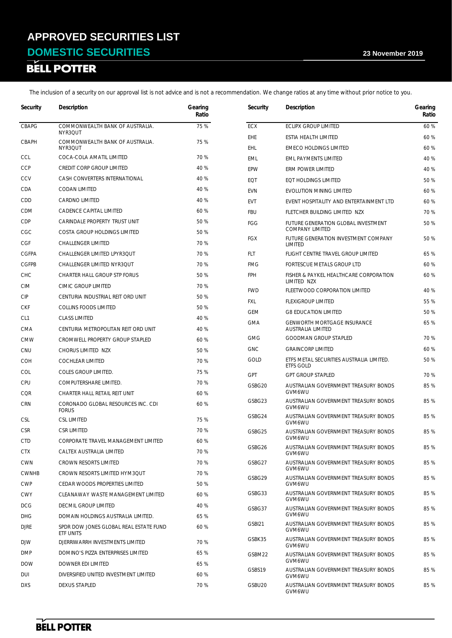# **DOMESTIC SECURITIES** 23 November 2019<br> **BELL POTTER**

| Security        | Description                                         | Gearing<br>Ratio | Security                 | Description                                           | Gearing<br>Ratio |
|-----------------|-----------------------------------------------------|------------------|--------------------------|-------------------------------------------------------|------------------|
| CBAPG           | COMMONWEALTH BANK OF AUSTRALIA.                     | 75 %             | <b>ECX</b>               | ECLIPX GROUP LIMITED                                  | 60 %             |
|                 | NYR3QUT<br>COMMONWEALTH BANK OF AUSTRALIA.          | 75 %             | EHE                      | ESTIA HEALTH LIMITED                                  | 60 %             |
| CBAPH           | NYR3QUT                                             |                  | <b>EHL</b>               | <b>EMECO HOLDINGS LIMITED</b>                         | 60 %             |
| <b>CCL</b>      | COCA-COLA AMATIL LIMITED                            | 70 %             | <b>EML</b>               | <b>EML PAYMENTS LIMITED</b>                           | 40 %             |
| <b>CCP</b>      | CREDIT CORP GROUP LIMITED                           | 40 %             | EPW                      | ERM POWER LIMITED                                     | 40 %             |
| CCV             | CASH CONVERTERS INTERNATIONAL                       | 40 %             | EQT                      | EQT HOLDINGS LIMITED                                  | 50 %             |
| CDA             | <b>CODAN LIMITED</b>                                | 40 %             | <b>EVN</b>               | EVOLUTION MINING LIMITED                              | 60 %             |
| CDD             | <b>CARDNO LIMITED</b>                               | 40 %             | <b>EVT</b>               | EVENT HOSPITALITY AND ENTERTAINMENT LTD               | 60 %             |
| <b>CDM</b>      | CADENCE CAPITAL LIMITED                             | 60 %             | <b>FBU</b>               | FLETCHER BUILDING LIMITED NZX                         | 70 %             |
| CDP             | CARINDALE PROPERTY TRUST UNIT                       | 50 %             | FGG                      | FUTURE GENERATION GLOBAL INVESTMENT                   | 50 %             |
| CGC             | COSTA GROUP HOLDINGS LIMITED                        | 50 %             |                          | <b>COMPANY LIMITED</b>                                |                  |
| <b>CGF</b>      | CHALLENGER LIMITED                                  | 70 %             | <b>FGX</b>               | FUTURE GENERATION INVESTMENT COMPANY<br>LIMITED       | 50 %             |
| <b>CGFPA</b>    | CHALLENGER LIMITED LPYR3QUT                         | 70 %             | FLT                      | FLIGHT CENTRE TRAVEL GROUP LIMITED                    | 65 %             |
| <b>CGFPB</b>    | CHALLENGER LIMITED NYR3QUT                          | 70 %             | <b>FMG</b>               | FORTESCUE METALS GROUP LTD                            | 60 %             |
| <b>CHC</b>      | CHARTER HALL GROUP STP FORUS                        | 50 %             | <b>FPH</b>               | FISHER & PAYKEL HEALTHCARE CORPORATION<br>LIMITED NZX | 60 %             |
| <b>CIM</b>      | CIMIC GROUP LIMITED                                 | 70 %             | <b>FWD</b>               | FLEETWOOD CORPORATION LIMITED                         | 40 %             |
| <b>CIP</b>      | CENTURIA INDUSTRIAL REIT ORD UNIT                   | 50 %             | FXL                      | <b>FLEXIGROUP LIMITED</b>                             | 55 %             |
| <b>CKF</b>      | <b>COLLINS FOODS LIMITED</b>                        | 50 %             | <b>GEM</b>               | <b>G8 EDUCATION LIMITED</b>                           | 50 %             |
| CL <sub>1</sub> | <b>CLASS LIMITED</b>                                | 40 %             | <b>GMA</b>               | <b>GENWORTH MORTGAGE INSURANCE</b>                    | 65 %             |
| <b>CMA</b>      | CENTURIA METROPOLITAN REIT ORD UNIT                 | 40 %             |                          | <b>AUSTRALIA LIMITED</b>                              |                  |
| <b>CMW</b>      | CROMWELL PROPERTY GROUP STAPLED                     | 60 %             | <b>GMG</b><br><b>GNC</b> | <b>GOODMAN GROUP STAPLED</b>                          | 70 %<br>60 %     |
| <b>CNU</b>      | CHORUS LIMITED NZX                                  | 50 %             |                          | <b>GRAINCORP LIMITED</b>                              |                  |
| <b>COH</b>      | <b>COCHLEAR LIMITED</b>                             | 70 %             | GOLD                     | ETFS METAL SECURITIES AUSTRALIA LIMITED.<br>ETFS GOLD | 50 %             |
| COL             | COLES GROUP LIMITED.                                | 75 %             | <b>GPT</b>               | <b>GPT GROUP STAPLED</b>                              | 70 %             |
| CPU             | COMPUTERSHARE LIMITED.                              | 70 %             | GSBG20                   | AUSTRALIAN GOVERNMENT TREASURY BONDS                  | 85 %             |
| <b>CQR</b>      | CHARTER HALL RETAIL REIT UNIT                       | 60 %             | GSBG23                   | GVM6WU<br>AUSTRALIAN GOVERNMENT TREASURY BONDS        | 85 %             |
| <b>CRN</b>      | CORONADO GLOBAL RESOURCES INC. CDI<br><b>FORUS</b>  | 60 %             |                          | GVM6WU                                                |                  |
| <b>CSL</b>      | <b>CSL LIMITED</b>                                  | 75 %             | GSBG24                   | AUSTRALIAN GOVERNMENT TREASURY BONDS<br>GVM6WU        | 85 %             |
| <b>CSR</b>      | <b>CSR LIMITED</b>                                  | 70 %             | GSBG25                   | AUSTRALIAN GOVERNMENT TREASURY BONDS<br>GVM6WU        | 85 %             |
| <b>CTD</b>      | CORPORATE TRAVEL MANAGEMENT LIMITED                 | 60 %             | GSBG26                   | AUSTRALIAN GOVERNMENT TREASURY BONDS                  | 85 %             |
| <b>CTX</b>      | CALTEX AUSTRALIA LIMITED                            | 70 %             |                          | GVM6WU                                                |                  |
| CWN             | CROWN RESORTS LIMITED                               | 70 %             | GSBG27                   | AUSTRALIAN GOVERNMENT TREASURY BONDS<br>GVM6WU        | 85 %             |
| <b>CWNHB</b>    | CROWN RESORTS LIMITED HYM3QUT                       | 70 %             | GSBG29                   | AUSTRALIAN GOVERNMENT TREASURY BONDS                  | 85 %             |
| <b>CWP</b>      | CEDAR WOODS PROPERTIES LIMITED                      | 50 %             |                          | GVM6WU                                                |                  |
| <b>CWY</b>      | CLEANAWAY WASTE MANAGEMENT LIMITED                  | 60 %             | GSBG33                   | AUSTRALIAN GOVERNMENT TREASURY BONDS<br>GVM6WU        | 85 %             |
| <b>DCG</b>      | <b>DECMIL GROUP LIMITED</b>                         | 40 %             | GSBG37                   | AUSTRALIAN GOVERNMENT TREASURY BONDS                  | 85 %             |
| DHG             | DOMAIN HOLDINGS AUSTRALIA LIMITED.                  | 65 %             | GSBI21                   | GVM6WU<br>AUSTRALIAN GOVERNMENT TREASURY BONDS        | 85 %             |
| <b>DJRE</b>     | SPDR DOW JONES GLOBAL REAL ESTATE FUND<br>ETF UNITS | 60 %             |                          | GVM6WU                                                |                  |
| DJW             | DJERRIWARRH INVESTMENTS LIMITED                     | 70 %             | GSBK35                   | AUSTRALIAN GOVERNMENT TREASURY BONDS<br>GVM6WU        | 85 %             |
| DMP             | DOMINO'S PIZZA ENTERPRISES LIMITED                  | 65 %             | GSBM22                   | AUSTRALIAN GOVERNMENT TREASURY BONDS                  | 85 %             |
| <b>DOW</b>      | DOWNER EDI LIMITED                                  | 65 %             | GSBS19                   | GVM6WU<br>AUSTRALIAN GOVERNMENT TREASURY BONDS        | 85 %             |
| DUI             | DIVERSIFIED UNITED INVESTMENT LIMITED               | 60 %             |                          | GVM6WU                                                |                  |
| <b>DXS</b>      | DEXUS STAPLED                                       | 70 %             | GSBU <sub>20</sub>       | AUSTRALIAN GOVERNMENT TREASURY BONDS<br>GVM6WU        | 85 %             |

**BELL POTTER**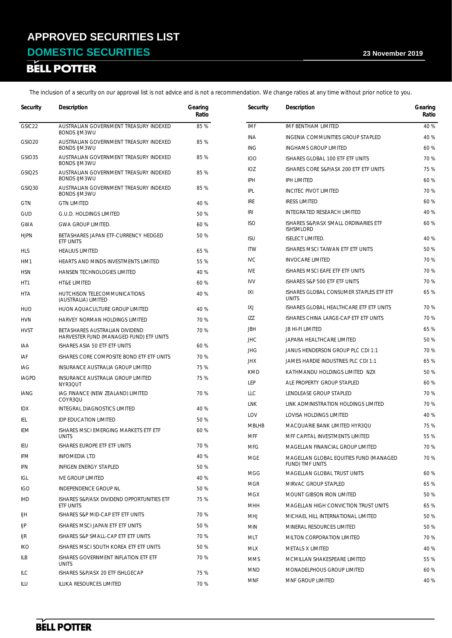# **DOMESTIC SECURITIES** 23 November 2019<br> **BELL POTTER**

| Security           | Description                                                   | Gearing<br>Ratio | Security     | Description                                              | Gearing<br>Ratio |
|--------------------|---------------------------------------------------------------|------------------|--------------|----------------------------------------------------------|------------------|
| GSIC <sub>22</sub> | AUSTRALIAN GOVERNMENT TREASURY INDEXED                        | 85 %             | <b>IMF</b>   | IMF BENTHAM LIMITED                                      | 40 %             |
|                    | <b>BONDS IJM3WU</b>                                           |                  | <b>INA</b>   | INGENIA COMMUNITIES GROUP STAPLED                        | 40 %             |
| GSIO <sub>20</sub> | AUSTRALIAN GOVERNMENT TREASURY INDEXED<br><b>BONDS IJM3WU</b> | 85 %             | ING          | <b>INGHAMS GROUP LIMITED</b>                             | 60 %             |
| <b>GSIO35</b>      | AUSTRALIAN GOVERNMENT TREASURY INDEXED                        | 85 %             | <b>IOO</b>   | ISHARES GLOBAL 100 ETF ETF UNITS                         | 70 %             |
| GSIQ25             | <b>BONDS IJM3WU</b><br>AUSTRALIAN GOVERNMENT TREASURY INDEXED | 85 %             | IOZ          | ISHARES CORE S&P/ASX 200 ETF ETF UNITS                   | 75 %             |
|                    | <b>BONDS IJM3WU</b>                                           |                  | IPH          | <b>IPH LIMITED</b>                                       | 60 %             |
| GSIQ30             | AUSTRALIAN GOVERNMENT TREASURY INDEXED<br><b>BONDS IJM3WU</b> | 85 %             | IPL          | <b>INCITEC PIVOT LIMITED</b>                             | 70 %             |
| <b>GTN</b>         | <b>GTN LIMITED</b>                                            | 40 %             | <b>IRE</b>   | <b>IRESS LIMITED</b>                                     | 60 %             |
| <b>GUD</b>         | G.U.D. HOLDINGS LIMITED                                       | 50 %             | <b>IRI</b>   | INTEGRATED RESEARCH LIMITED                              | 40 %             |
| GWA                | <b>GWA GROUP LIMITED.</b>                                     | 60 %             | <b>ISO</b>   | ISHARES S&P/ASX SMALL ORDINARIES ETF<br><b>ISHSMLORD</b> | 60 %             |
| <b>HJPN</b>        | BETASHARES JAPAN ETF-CURRENCY HEDGED<br>ETF UNITS             | 50 %             | <b>ISU</b>   | <b>ISELECT LIMITED.</b>                                  | 40 %             |
| HLS                | <b>HEALIUS LIMITED</b>                                        | 65 %             | <b>ITW</b>   | ISHARES MSCI TAIWAN ETF ETF UNITS                        | 50 %             |
| HM1                | HEARTS AND MINDS INVESTMENTS LIMITED                          | 55 %             | <b>IVC</b>   | <b>INVOCARE LIMITED</b>                                  | 70 %             |
| <b>HSN</b>         | <b>HANSEN TECHNOLOGIES LIMITED</b>                            | 40 %             | <b>IVE</b>   | ISHARES MSCI EAFE ETF ETF UNITS                          | 70 %             |
| HT1                | <b>HT&amp;E LIMITED</b>                                       | 60 %             | <b>IVV</b>   | ISHARES S&P 500 ETF ETF UNITS                            | 70 %             |
| <b>HTA</b>         | HUTCHISON TELECOMMUNICATIONS<br>(AUSTRALIA) LIMITED           | 40 %             | IXI          | ISHARES GLOBAL CONSUMER STAPLES ETF ETF<br><b>UNITS</b>  | 65 %             |
| HUO                | HUON AQUACULTURE GROUP LIMITED                                | 40 %             | IXJ          | ISHARES GLOBAL HEALTHCARE ETF ETF UNITS                  | 70 %             |
| <b>HVN</b>         | HARVEY NORMAN HOLDINGS LIMITED                                | 70 %             | <b>IZZ</b>   | ISHARES CHINA LARGE-CAP ETF ETF UNITS                    | 70 %             |
| <b>HVST</b>        | BETASHARES AUSTRALIAN DIVIDEND                                | 70 %             | <b>JBH</b>   | <b>JB HI-FI LIMITED</b>                                  | 65 %             |
|                    | HARVESTER FUND (MANAGED FUND) ETF UNITS                       |                  | <b>JHC</b>   | JAPARA HEALTHCARE LIMITED                                | 50 %             |
| iaa                | ISHARES ASIA 50 ETF ETF UNITS                                 | 60 %             | <b>JHG</b>   | JANUS HENDERSON GROUP PLC CDI 1:1                        | 70 %             |
| iaf                | ISHARES CORE COMPOSITE BOND ETF ETF UNITS                     | 70 %             | <b>JHX</b>   | JAMES HARDIE INDUSTRIES PLC CDI 1:1                      | 65 %             |
| IAG                | INSURANCE AUSTRALIA GROUP LIMITED                             | 75 %             | <b>KMD</b>   | KATHMANDU HOLDINGS LIMITED NZX                           | 50 %             |
| <b>IAGPD</b>       | INSURANCE AUSTRALIA GROUP LIMITED<br>NYR3QUT                  | 75 %             | LEP          | ALE PROPERTY GROUP STAPLED                               | 60 %             |
| IANG               | IAG FINANCE (NEW ZEALAND) LIMITED                             | 70 %             | LLC          | LENDLEASE GROUP STAPLED                                  | 70 %             |
| <b>IDX</b>         | COYR3QU<br>INTEGRAL DIAGNOSTICS LIMITED                       | 40 %             | <b>LNK</b>   | LINK ADMINISTRATION HOLDINGS LIMITED                     | 70 %             |
| IEL                | <b>IDP EDUCATION LIMITED</b>                                  | 50 %             | LOV          | LOVISA HOLDINGS LIMITED                                  | 40 %             |
| IEM                | ISHARES MSCI EMERGING MARKETS ETF ETF                         | 60 %             | <b>MBLHB</b> | MACQUARIE BANK LIMITED HYR3QU                            | 75 %             |
|                    | <b>UNITS</b>                                                  |                  | <b>MFF</b>   | MFF CAPITAL INVESTMENTS LIMITED                          | 55 %             |
| IEU                | ISHARES EUROPE ETF ETF UNITS                                  | 70 %             | <b>MFG</b>   | MAGELLAN FINANCIAL GROUP LIMITED                         | 70 %             |
| IFM                | <b>INFOMEDIA LTD</b>                                          | 40 %             | <b>MGE</b>   | MAGELLAN GLOBAL EQUITIES FUND (MANAGED                   | 70 %             |
| IFN                | INFIGEN ENERGY STAPLED                                        | 50 %             | <b>MGG</b>   | FUND) TMF UNITS<br>MAGELLAN GLOBAL TRUST UNITS           | 60 %             |
| IGL                | IVE GROUP LIMITED                                             | 40 %             | <b>MGR</b>   | MIRVAC GROUP STAPLED                                     | 65 %             |
| <b>IGO</b>         | INDEPENDENCE GROUP NL                                         | 50 %             | <b>MGX</b>   | MOUNT GIBSON IRON LIMITED                                | 50 %             |
| <b>IHD</b>         | ISHARES S&P/ASX DIVIDEND OPPORTUNITIES ETF<br>ETF UNITS       | 75 %             | MHH          | MAGELLAN HIGH CONVICTION TRUST UNITS                     | 65 %             |
| IJН                | ISHARES S&P MID-CAP ETF ETF UNITS                             | 70 %             | <b>MHJ</b>   | MICHAEL HILL INTERNATIONAL LIMITED                       | 50 %             |
| IJР                | ISHARES MSCI JAPAN ETF ETF UNITS                              | 50 %             | <b>MIN</b>   | MINERAL RESOURCES LIMITED                                | 50 %             |
| IJR                | ISHARES S&P SMALL-CAP ETF ETF UNITS                           | 70 %             | MLT          | MILTON CORPORATION LIMITED                               | 70 %             |
| IKO                | ISHARES MSCI SOUTH KOREA ETF ETF UNITS                        | 50 %             | MLX          | METALS X LIMITED                                         | 40 %             |
| ILB                | ISHARES GOVERNMENT INFLATION ETF ETF                          | 70 %             | MMS          | MCMILLAN SHAKESPEARE LIMITED                             | 55 %             |
|                    | <b>UNITS</b>                                                  |                  | MND          | MONADELPHOUS GROUP LIMITED                               | 60 %             |
| ILC                | ISHARES S&P/ASX 20 ETF ISHLGECAP                              | 75 %             | MNF          | MNF GROUP LIMITED                                        | 40 %             |
| ILU                | ILUKA RESOURCES LIMITED                                       | 70 %             |              |                                                          |                  |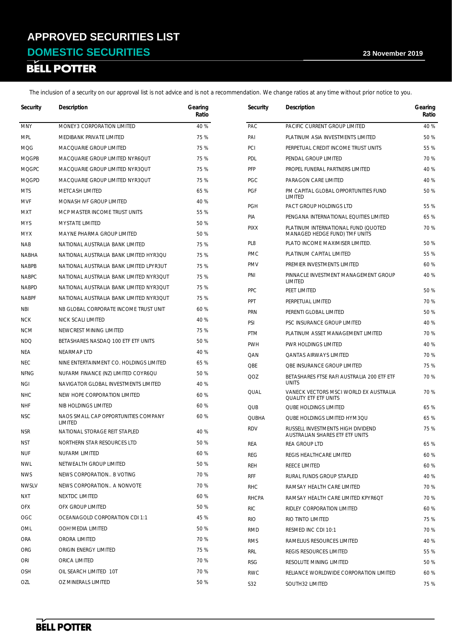# **DOMESTIC SECURITIES** 23 November 2019<br> **BELL POTTER**

| Security     | Description                                     | Gearing<br>Ratio | Security          | Description                                                            | Gearing<br>Ratio |
|--------------|-------------------------------------------------|------------------|-------------------|------------------------------------------------------------------------|------------------|
| <b>MNY</b>   | MONEY3 CORPORATION LIMITED                      | 40 %             | PAC               | PACIFIC CURRENT GROUP LIMITED                                          | 40 %             |
| <b>MPL</b>   | MEDIBANK PRIVATE LIMITED                        | 75 %             | PAI               | PLATINUM ASIA INVESTMENTS LIMITED                                      | 50 %             |
| <b>MQG</b>   | MACQUARIE GROUP LIMITED                         | 75 %             | PCI               | PERPETUAL CREDIT INCOME TRUST UNITS                                    | 55 %             |
| <b>MQGPB</b> | MACQUARIE GROUP LIMITED NYR6QUT                 | 75 %             | PDL               | PENDAL GROUP LIMITED                                                   | 70 %             |
| <b>MQGPC</b> | MACQUARIE GROUP LIMITED NYR3QUT                 | 75 %             | PFP               | PROPEL FUNERAL PARTNERS LIMITED                                        | 40 %             |
| <b>MQGPD</b> | MACQUARIE GROUP LIMITED NYR3QUT                 | 75 %             | PGC               | PARAGON CARE LIMITED                                                   | 40 %             |
| <b>MTS</b>   | <b>METCASH LIMITED</b>                          | 65 %             | <b>PGF</b>        | PM CAPITAL GLOBAL OPPORTUNITIES FUND                                   | 50 %             |
| <b>MVF</b>   | MONASH IVF GROUP LIMITED                        | 40 %             |                   | LIMITED<br>PACT GROUP HOLDINGS LTD                                     |                  |
| MXT          | MCP MASTER INCOME TRUST UNITS                   | 55 %             | <b>PGH</b><br>PIA |                                                                        | 55 %<br>65 %     |
| <b>MYS</b>   | <b>MYSTATE LIMITED</b>                          | 50 %             |                   | PENGANA INTERNATIONAL EQUITIES LIMITED                                 | 70 %             |
| <b>MYX</b>   | <b>MAYNE PHARMA GROUP LIMITED</b>               | 50 %             | <b>PIXX</b>       | PLATINUM INTERNATIONAL FUND (QUOTED<br>MANAGED HEDGE FUND) TMF UNITS   |                  |
| <b>NAB</b>   | NATIONAL AUSTRALIA BANK LIMITED                 | 75 %             | PL8               | PLATO INCOME MAXIMISER LIMITED.                                        | 50 %             |
| <b>NABHA</b> | NATIONAL AUSTRALIA BANK LIMITED HYR3QU          | 75 %             | <b>PMC</b>        | PLATINUM CAPITAL LIMITED                                               | 55 %             |
| <b>NABPB</b> | NATIONAL AUSTRALIA BANK LIMITED LPYR3UT         | 75 %             | <b>PMV</b>        | PREMIER INVESTMENTS LIMITED                                            | 60 %             |
| <b>NABPC</b> | NATIONAL AUSTRALIA BANK LIMITED NYR3QUT         | 75 %             | PNI               | PINNACLE INVESTMENT MANAGEMENT GROUP<br>LIMITED                        | 40 %             |
| <b>NABPD</b> | NATIONAL AUSTRALIA BANK LIMITED NYR3QUT         | 75 %             | PPC               | PEET LIMITED                                                           | 50 %             |
| <b>NABPF</b> | NATIONAL AUSTRALIA BANK LIMITED NYR3QUT         | 75 %             | PPT               | PERPETUAL LIMITED                                                      | 70 %             |
| NBI          | NB GLOBAL CORPORATE INCOME TRUST UNIT           | 60 %             | <b>PRN</b>        | PERENTI GLOBAL LIMITED                                                 | 50 %             |
| <b>NCK</b>   | NICK SCALI LIMITED                              | 40 %             | PSI               | PSC INSURANCE GROUP LIMITED                                            | 40 %             |
| <b>NCM</b>   | NEWCREST MINING LIMITED                         | 75 %             | <b>PTM</b>        | PLATINUM ASSET MANAGEMENT LIMITED                                      | 70 %             |
| <b>NDQ</b>   | BETASHARES NASDAQ 100 ETF ETF UNITS             | 50 %             | <b>PWH</b>        | PWR HOLDINGS LIMITED                                                   | 40 %             |
| NEA          | NEARMAP LTD                                     | 40 %             | QAN               | <b>QANTAS AIRWAYS LIMITED</b>                                          | 70 %             |
| <b>NEC</b>   | NINE ENTERTAINMENT CO. HOLDINGS LIMITED         | 65 %             | QBE               | <b>QBE INSURANCE GROUP LIMITED</b>                                     | 75 %             |
| <b>NFNG</b>  | NUFARM FINANCE (NZ) LIMITED COYR6QU             | 50 %             | QOZ               | BETASHARES FTSE RAFI AUSTRALIA 200 ETF ETF                             | 70 %             |
| NGI          | NAVIGATOR GLOBAL INVESTMENTS LIMITED            | 40 %             |                   | <b>UNITS</b>                                                           |                  |
| <b>NHC</b>   | NEW HOPE CORPORATION LIMITED                    | 60 %             | QUAL              | VANECK VECTORS MSCI WORLD EX AUSTRALIA<br><b>QUALITY ETF ETF UNITS</b> | 70 %             |
| <b>NHF</b>   | NIB HOLDINGS LIMITED                            | 60 %             | QUB               | <b>QUBE HOLDINGS LIMITED</b>                                           | 65 %             |
| <b>NSC</b>   | NAOS SMALL CAP OPPORTUNITIES COMPANY<br>LIMITED | 60 %             | <b>QUBHA</b>      | QUBE HOLDINGS LIMITED HYM3QU                                           | 65 %             |
| <b>NSR</b>   | NATIONAL STORAGE REIT STAPLED                   | 40 %             | <b>RDV</b>        | RUSSELL INVESTMENTS HIGH DIVIDEND<br>AUSTRALIAN SHARES ETF ETF UNITS   | 75 %             |
| NST          | NORTHERN STAR RESOURCES LTD                     | 50 %             | REA               | REA GROUP LTD                                                          | 65 %             |
| <b>NUF</b>   | NUFARM LIMITED                                  | 60 %             | <b>REG</b>        | REGIS HEALTHCARE LIMITED                                               | 60 %             |
| <b>NWL</b>   | NETWEALTH GROUP LIMITED                         | 50 %             | <b>REH</b>        | REECE LIMITED                                                          | 60 %             |
| <b>NWS</b>   | NEWS CORPORATION B VOTING                       | 70 %             | RFF               | RURAL FUNDS GROUP STAPLED                                              | 40 %             |
| <b>NWSLV</b> | NEWS CORPORATION A NONVOTE                      | 70 %             | <b>RHC</b>        | RAMSAY HEALTH CARE LIMITED                                             | 70 %             |
| <b>NXT</b>   | NEXTDC LIMITED                                  | 60 %             | <b>RHCPA</b>      | RAMSAY HEALTH CARE LIMITED KPYR6QT                                     | 70 %             |
| <b>OFX</b>   | OFX GROUP LIMITED                               | 50 %             | <b>RIC</b>        | RIDLEY CORPORATION LIMITED                                             | 60 %             |
| OGC          | OCEANAGOLD CORPORATION CDI 1:1                  | 45 %             | <b>RIO</b>        | RIO TINTO LIMITED                                                      | 75 %             |
| OML          | OOH! MEDIA LIMITED                              | 50 %             | <b>RMD</b>        | RESMED INC CDI 10:1                                                    | 70 %             |
| ORA          | ORORA LIMITED                                   | 70 %             | <b>RMS</b>        | RAMELIUS RESOURCES LIMITED                                             | 40 %             |
| ORG          | ORIGIN ENERGY LIMITED                           | 75 %             | RRL               | REGIS RESOURCES LIMITED                                                | 55 %             |
| <b>ORI</b>   | ORICA LIMITED                                   | 70 %             | <b>RSG</b>        | RESOLUTE MINING LIMITED                                                | 50 %             |
| <b>OSH</b>   | OIL SEARCH LIMITED 10T                          | 70 %             | <b>RWC</b>        | RELIANCE WORLDWIDE CORPORATION LIMITED                                 | 60 %             |
| OZL          | OZ MINERALS LIMITED                             | 50 %             | S32               | SOUTH32 LIMITED                                                        | 75 %             |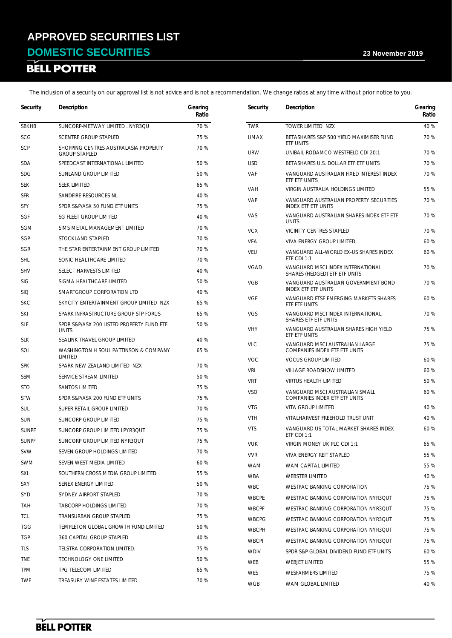# **DOMESTIC SECURITIES** 23 November 2019<br> **BELL POTTER**

| 70 %<br>SUNCORP-METWAY LIMITED . NYR3QU<br><b>TWR</b><br>TOWER LIMITED NZX<br>40 %<br><b>SBKHB</b><br><b>SCG</b><br><b>SCENTRE GROUP STAPLED</b><br>75 %<br><b>UMAX</b><br>70 %<br>BETASHARES S&P 500 YIELD MAXIMISER FUND<br>ETF UNITS<br>SCP<br>70 %<br>SHOPPING CENTRES AUSTRALASIA PROPERTY<br><b>URW</b><br>UNIBAIL-RODAMCO-WESTFIELD CDI 20:1<br>70 %<br><b>GROUP STAPLED</b><br>SPEEDCAST INTERNATIONAL LIMITED<br>50 %<br><b>USD</b><br>70 %<br><b>SDA</b><br>BETASHARES U.S. DOLLAR ETF ETF UNITS<br>70 %<br><b>SDG</b><br>SUNLAND GROUP LIMITED<br>50 %<br><b>VAF</b><br>VANGUARD AUSTRALIAN FIXED INTEREST INDEX<br>ETF ETF UNITS<br>65 %<br><b>SEK</b><br><b>SEEK LIMITED</b><br>VIRGIN AUSTRALIA HOLDINGS LIMITED<br>55 %<br><b>VAH</b><br>40 %<br><b>SFR</b><br>SANDFIRE RESOURCES NL<br>VAP<br>70 %<br>VANGUARD AUSTRALIAN PROPERTY SECURITIES<br>75 %<br><b>SFY</b><br>SPDR S&P/ASX 50 FUND ETF UNITS<br>INDEX ETF ETF UNITS<br>VAS<br>VANGUARD AUSTRALIAN SHARES INDEX ETF ETF<br>70 %<br>40 %<br>SGF<br>SG FLEET GROUP LIMITED<br><b>UNITS</b><br>70 %<br>SGM<br>SIMS METAL MANAGEMENT LIMITED<br><b>VCX</b><br>VICINITY CENTRES STAPLED<br>70 %<br>SGP<br>70 %<br>STOCKLAND STAPLED<br>VEA<br>60 %<br>VIVA ENERGY GROUP LIMITED<br>70 %<br>SGR<br>THE STAR ENTERTAINMENT GROUP LIMITED<br>VEU<br>60 %<br>VANGUARD ALL-WORLD EX-US SHARES INDEX<br>ETF CDI 1:1<br>70 %<br><b>SHL</b><br>SONIC HEALTHCARE LIMITED<br><b>VGAD</b><br>VANGUARD MSCI INDEX INTERNATIONAL<br>70 %<br><b>SHV</b><br>SELECT HARVESTS LIMITED<br>40 %<br>SHARES (HEDGED) ETF ETF UNITS<br>50 %<br><b>SIG</b><br>SIGMA HEALTHCARE LIMITED<br><b>VGB</b><br>70 %<br>VANGUARD AUSTRALIAN GOVERNMENT BOND<br>INDEX ETF ETF UNITS<br>40 %<br><b>SIQ</b><br>SMARTGROUP CORPORATION LTD<br><b>VGE</b><br>60 %<br>VANGUARD FTSE EMERGING MARKETS SHARES<br>65 %<br><b>SKC</b><br>SKYCITY ENTERTAINMENT GROUP LIMITED NZX<br>ETF ETF UNITS<br><b>VGS</b><br>70 %<br><b>SKI</b><br>SPARK INFRASTRUCTURE GROUP STP FORUS<br>65 %<br>VANGUARD MSCI INDEX INTERNATIONAL<br>SHARES ETF ETF UNITS<br>50 %<br><b>SLF</b><br>SPDR S&P/ASX 200 LISTED PROPERTY FUND ETF<br><b>VHY</b><br>75 %<br>VANGUARD AUSTRALIAN SHARES HIGH YIELD<br><b>UNITS</b><br>ETF ETF UNITS<br>40 %<br><b>SLK</b><br>SEALINK TRAVEL GROUP LIMITED<br><b>VLC</b><br>VANGUARD MSCI AUSTRALIAN LARGE<br>75 %<br>65 %<br>COMPANIES INDEX ETF ETF UNITS<br>SOL<br>WASHINGTON H SOUL PATTINSON & COMPANY<br>LIMITED<br><b>VOC</b><br><b>VOCUS GROUP LIMITED</b><br>60 %<br>70 %<br><b>SPK</b><br>SPARK NEW ZEALAND LIMITED NZX<br><b>VRL</b><br>60 %<br>VILLAGE ROADSHOW LIMITED<br>50 %<br>SSM<br>SERVICE STREAM LIMITED<br><b>VRT</b><br>50 %<br><b>VIRTUS HEALTH LIMITED</b><br>75 %<br><b>STO</b><br><b>SANTOS LIMITED</b><br><b>VSO</b><br>60 %<br>VANGUARD MSCI AUSTRALIAN SMALL<br><b>STW</b><br>SPDR S&P/ASX 200 FUND ETF UNITS<br>75 %<br>COMPANIES INDEX ETF ETF UNITS<br><b>VTG</b><br><b>VITA GROUP LIMITED</b><br>40 %<br>70 %<br><b>SUL</b><br>SUPER RETAIL GROUP LIMITED<br>40 %<br><b>VTH</b><br>VITALHARVEST FREEHOLD TRUST UNIT<br><b>SUN</b><br>SUNCORP GROUP LIMITED<br>75 %<br>60 %<br><b>VTS</b><br>VANGUARD US TOTAL MARKET SHARES INDEX<br><b>SUNPE</b><br>SUNCORP GROUP LIMITED LPYR3QUT<br>75 %<br>ETF CDI 1:1<br>75 %<br><b>SUNPF</b><br>SUNCORP GROUP LIMITED NYR3QUT<br>VIRGIN MONEY UK PLC CDI 1:1<br>65 %<br>VUK<br>70 %<br><b>SVW</b><br>SEVEN GROUP HOLDINGS LIMITED<br>55 %<br><b>VVR</b><br>VIVA ENERGY REIT STAPLED<br>60 %<br>SWM<br>SEVEN WEST MEDIA LIMITED<br>55 %<br><b>WAM</b><br>WAM CAPITAL LIMITED<br>55 %<br>SXL<br>SOUTHERN CROSS MEDIA GROUP LIMITED<br><b>WBA</b><br><b>WEBSTER LIMITED</b><br>40 %<br>50 %<br>SXY<br>SENEX ENERGY LIMITED<br>75 %<br><b>WBC</b><br>WESTPAC BANKING CORPORATION<br>70 %<br><b>SYD</b><br>SYDNEY AIRPORT STAPLED<br>WESTPAC BANKING CORPORATION NYR3QUT<br>75 %<br><b>WBCPE</b><br>70 %<br><b>TABCORP HOLDINGS LIMITED</b><br>TAH<br><b>WBCPF</b><br>75 %<br>WESTPAC BANKING CORPORATION NYR3QUT<br><b>TCL</b><br>75 %<br>TRANSURBAN GROUP STAPLED<br><b>WBCPG</b><br>75 %<br>WESTPAC BANKING CORPORATION NYR3QUT<br>50 %<br><b>TGG</b><br>TEMPLETON GLOBAL GROWTH FUND LIMITED<br><b>WBCPH</b><br>WESTPAC BANKING CORPORATION NYR3QUT<br>75 %<br><b>TGP</b><br>360 CAPITAL GROUP STAPLED<br>40 %<br><b>WBCPI</b><br>75 %<br>WESTPAC BANKING CORPORATION NYR3QUT<br>75 %<br>TLS<br>TELSTRA CORPORATION LIMITED.<br><b>WDIV</b><br>SPDR S&P GLOBAL DIVIDEND FUND ETF UNITS<br>60 %<br>50 %<br>TNE<br>TECHNOLOGY ONE LIMITED<br>WEB<br>55 %<br>WEBJET LIMITED<br>65 %<br><b>TPM</b><br>TPG TELECOM LIMITED<br><b>WES</b><br>WESFARMERS LIMITED<br>75 %<br><b>TWE</b><br>TREASURY WINE ESTATES LIMITED<br>70 % | Security | Description | Gearing<br>Ratio | Security   | Description        | Gearing<br>Ratio |
|-------------------------------------------------------------------------------------------------------------------------------------------------------------------------------------------------------------------------------------------------------------------------------------------------------------------------------------------------------------------------------------------------------------------------------------------------------------------------------------------------------------------------------------------------------------------------------------------------------------------------------------------------------------------------------------------------------------------------------------------------------------------------------------------------------------------------------------------------------------------------------------------------------------------------------------------------------------------------------------------------------------------------------------------------------------------------------------------------------------------------------------------------------------------------------------------------------------------------------------------------------------------------------------------------------------------------------------------------------------------------------------------------------------------------------------------------------------------------------------------------------------------------------------------------------------------------------------------------------------------------------------------------------------------------------------------------------------------------------------------------------------------------------------------------------------------------------------------------------------------------------------------------------------------------------------------------------------------------------------------------------------------------------------------------------------------------------------------------------------------------------------------------------------------------------------------------------------------------------------------------------------------------------------------------------------------------------------------------------------------------------------------------------------------------------------------------------------------------------------------------------------------------------------------------------------------------------------------------------------------------------------------------------------------------------------------------------------------------------------------------------------------------------------------------------------------------------------------------------------------------------------------------------------------------------------------------------------------------------------------------------------------------------------------------------------------------------------------------------------------------------------------------------------------------------------------------------------------------------------------------------------------------------------------------------------------------------------------------------------------------------------------------------------------------------------------------------------------------------------------------------------------------------------------------------------------------------------------------------------------------------------------------------------------------------------------------------------------------------------------------------------------------------------------------------------------------------------------------------------------------------------------------------------------------------------------------------------------------------------------------------------------------------------------------------------------------------------------------------------------------------------------------------------------------------------------------------------------------------------------------------------------------------------------------------------------------------------------------------------------------------------------------------------------------------------------------------------------------------------------------------------------------------------------------------------------------------------------------------------------------------------------------------------------------------------------------------------------------------------------|----------|-------------|------------------|------------|--------------------|------------------|
|                                                                                                                                                                                                                                                                                                                                                                                                                                                                                                                                                                                                                                                                                                                                                                                                                                                                                                                                                                                                                                                                                                                                                                                                                                                                                                                                                                                                                                                                                                                                                                                                                                                                                                                                                                                                                                                                                                                                                                                                                                                                                                                                                                                                                                                                                                                                                                                                                                                                                                                                                                                                                                                                                                                                                                                                                                                                                                                                                                                                                                                                                                                                                                                                                                                                                                                                                                                                                                                                                                                                                                                                                                                                                                                                                                                                                                                                                                                                                                                                                                                                                                                                                                                                                                                                                                                                                                                                                                                                                                                                                                                                                                                                                                                                           |          |             |                  |            |                    |                  |
|                                                                                                                                                                                                                                                                                                                                                                                                                                                                                                                                                                                                                                                                                                                                                                                                                                                                                                                                                                                                                                                                                                                                                                                                                                                                                                                                                                                                                                                                                                                                                                                                                                                                                                                                                                                                                                                                                                                                                                                                                                                                                                                                                                                                                                                                                                                                                                                                                                                                                                                                                                                                                                                                                                                                                                                                                                                                                                                                                                                                                                                                                                                                                                                                                                                                                                                                                                                                                                                                                                                                                                                                                                                                                                                                                                                                                                                                                                                                                                                                                                                                                                                                                                                                                                                                                                                                                                                                                                                                                                                                                                                                                                                                                                                                           |          |             |                  |            |                    |                  |
|                                                                                                                                                                                                                                                                                                                                                                                                                                                                                                                                                                                                                                                                                                                                                                                                                                                                                                                                                                                                                                                                                                                                                                                                                                                                                                                                                                                                                                                                                                                                                                                                                                                                                                                                                                                                                                                                                                                                                                                                                                                                                                                                                                                                                                                                                                                                                                                                                                                                                                                                                                                                                                                                                                                                                                                                                                                                                                                                                                                                                                                                                                                                                                                                                                                                                                                                                                                                                                                                                                                                                                                                                                                                                                                                                                                                                                                                                                                                                                                                                                                                                                                                                                                                                                                                                                                                                                                                                                                                                                                                                                                                                                                                                                                                           |          |             |                  |            |                    |                  |
|                                                                                                                                                                                                                                                                                                                                                                                                                                                                                                                                                                                                                                                                                                                                                                                                                                                                                                                                                                                                                                                                                                                                                                                                                                                                                                                                                                                                                                                                                                                                                                                                                                                                                                                                                                                                                                                                                                                                                                                                                                                                                                                                                                                                                                                                                                                                                                                                                                                                                                                                                                                                                                                                                                                                                                                                                                                                                                                                                                                                                                                                                                                                                                                                                                                                                                                                                                                                                                                                                                                                                                                                                                                                                                                                                                                                                                                                                                                                                                                                                                                                                                                                                                                                                                                                                                                                                                                                                                                                                                                                                                                                                                                                                                                                           |          |             |                  |            |                    |                  |
|                                                                                                                                                                                                                                                                                                                                                                                                                                                                                                                                                                                                                                                                                                                                                                                                                                                                                                                                                                                                                                                                                                                                                                                                                                                                                                                                                                                                                                                                                                                                                                                                                                                                                                                                                                                                                                                                                                                                                                                                                                                                                                                                                                                                                                                                                                                                                                                                                                                                                                                                                                                                                                                                                                                                                                                                                                                                                                                                                                                                                                                                                                                                                                                                                                                                                                                                                                                                                                                                                                                                                                                                                                                                                                                                                                                                                                                                                                                                                                                                                                                                                                                                                                                                                                                                                                                                                                                                                                                                                                                                                                                                                                                                                                                                           |          |             |                  |            |                    |                  |
|                                                                                                                                                                                                                                                                                                                                                                                                                                                                                                                                                                                                                                                                                                                                                                                                                                                                                                                                                                                                                                                                                                                                                                                                                                                                                                                                                                                                                                                                                                                                                                                                                                                                                                                                                                                                                                                                                                                                                                                                                                                                                                                                                                                                                                                                                                                                                                                                                                                                                                                                                                                                                                                                                                                                                                                                                                                                                                                                                                                                                                                                                                                                                                                                                                                                                                                                                                                                                                                                                                                                                                                                                                                                                                                                                                                                                                                                                                                                                                                                                                                                                                                                                                                                                                                                                                                                                                                                                                                                                                                                                                                                                                                                                                                                           |          |             |                  |            |                    |                  |
|                                                                                                                                                                                                                                                                                                                                                                                                                                                                                                                                                                                                                                                                                                                                                                                                                                                                                                                                                                                                                                                                                                                                                                                                                                                                                                                                                                                                                                                                                                                                                                                                                                                                                                                                                                                                                                                                                                                                                                                                                                                                                                                                                                                                                                                                                                                                                                                                                                                                                                                                                                                                                                                                                                                                                                                                                                                                                                                                                                                                                                                                                                                                                                                                                                                                                                                                                                                                                                                                                                                                                                                                                                                                                                                                                                                                                                                                                                                                                                                                                                                                                                                                                                                                                                                                                                                                                                                                                                                                                                                                                                                                                                                                                                                                           |          |             |                  |            |                    |                  |
|                                                                                                                                                                                                                                                                                                                                                                                                                                                                                                                                                                                                                                                                                                                                                                                                                                                                                                                                                                                                                                                                                                                                                                                                                                                                                                                                                                                                                                                                                                                                                                                                                                                                                                                                                                                                                                                                                                                                                                                                                                                                                                                                                                                                                                                                                                                                                                                                                                                                                                                                                                                                                                                                                                                                                                                                                                                                                                                                                                                                                                                                                                                                                                                                                                                                                                                                                                                                                                                                                                                                                                                                                                                                                                                                                                                                                                                                                                                                                                                                                                                                                                                                                                                                                                                                                                                                                                                                                                                                                                                                                                                                                                                                                                                                           |          |             |                  |            |                    |                  |
|                                                                                                                                                                                                                                                                                                                                                                                                                                                                                                                                                                                                                                                                                                                                                                                                                                                                                                                                                                                                                                                                                                                                                                                                                                                                                                                                                                                                                                                                                                                                                                                                                                                                                                                                                                                                                                                                                                                                                                                                                                                                                                                                                                                                                                                                                                                                                                                                                                                                                                                                                                                                                                                                                                                                                                                                                                                                                                                                                                                                                                                                                                                                                                                                                                                                                                                                                                                                                                                                                                                                                                                                                                                                                                                                                                                                                                                                                                                                                                                                                                                                                                                                                                                                                                                                                                                                                                                                                                                                                                                                                                                                                                                                                                                                           |          |             |                  |            |                    |                  |
|                                                                                                                                                                                                                                                                                                                                                                                                                                                                                                                                                                                                                                                                                                                                                                                                                                                                                                                                                                                                                                                                                                                                                                                                                                                                                                                                                                                                                                                                                                                                                                                                                                                                                                                                                                                                                                                                                                                                                                                                                                                                                                                                                                                                                                                                                                                                                                                                                                                                                                                                                                                                                                                                                                                                                                                                                                                                                                                                                                                                                                                                                                                                                                                                                                                                                                                                                                                                                                                                                                                                                                                                                                                                                                                                                                                                                                                                                                                                                                                                                                                                                                                                                                                                                                                                                                                                                                                                                                                                                                                                                                                                                                                                                                                                           |          |             |                  |            |                    |                  |
|                                                                                                                                                                                                                                                                                                                                                                                                                                                                                                                                                                                                                                                                                                                                                                                                                                                                                                                                                                                                                                                                                                                                                                                                                                                                                                                                                                                                                                                                                                                                                                                                                                                                                                                                                                                                                                                                                                                                                                                                                                                                                                                                                                                                                                                                                                                                                                                                                                                                                                                                                                                                                                                                                                                                                                                                                                                                                                                                                                                                                                                                                                                                                                                                                                                                                                                                                                                                                                                                                                                                                                                                                                                                                                                                                                                                                                                                                                                                                                                                                                                                                                                                                                                                                                                                                                                                                                                                                                                                                                                                                                                                                                                                                                                                           |          |             |                  |            |                    |                  |
|                                                                                                                                                                                                                                                                                                                                                                                                                                                                                                                                                                                                                                                                                                                                                                                                                                                                                                                                                                                                                                                                                                                                                                                                                                                                                                                                                                                                                                                                                                                                                                                                                                                                                                                                                                                                                                                                                                                                                                                                                                                                                                                                                                                                                                                                                                                                                                                                                                                                                                                                                                                                                                                                                                                                                                                                                                                                                                                                                                                                                                                                                                                                                                                                                                                                                                                                                                                                                                                                                                                                                                                                                                                                                                                                                                                                                                                                                                                                                                                                                                                                                                                                                                                                                                                                                                                                                                                                                                                                                                                                                                                                                                                                                                                                           |          |             |                  |            |                    |                  |
|                                                                                                                                                                                                                                                                                                                                                                                                                                                                                                                                                                                                                                                                                                                                                                                                                                                                                                                                                                                                                                                                                                                                                                                                                                                                                                                                                                                                                                                                                                                                                                                                                                                                                                                                                                                                                                                                                                                                                                                                                                                                                                                                                                                                                                                                                                                                                                                                                                                                                                                                                                                                                                                                                                                                                                                                                                                                                                                                                                                                                                                                                                                                                                                                                                                                                                                                                                                                                                                                                                                                                                                                                                                                                                                                                                                                                                                                                                                                                                                                                                                                                                                                                                                                                                                                                                                                                                                                                                                                                                                                                                                                                                                                                                                                           |          |             |                  |            |                    |                  |
|                                                                                                                                                                                                                                                                                                                                                                                                                                                                                                                                                                                                                                                                                                                                                                                                                                                                                                                                                                                                                                                                                                                                                                                                                                                                                                                                                                                                                                                                                                                                                                                                                                                                                                                                                                                                                                                                                                                                                                                                                                                                                                                                                                                                                                                                                                                                                                                                                                                                                                                                                                                                                                                                                                                                                                                                                                                                                                                                                                                                                                                                                                                                                                                                                                                                                                                                                                                                                                                                                                                                                                                                                                                                                                                                                                                                                                                                                                                                                                                                                                                                                                                                                                                                                                                                                                                                                                                                                                                                                                                                                                                                                                                                                                                                           |          |             |                  |            |                    |                  |
|                                                                                                                                                                                                                                                                                                                                                                                                                                                                                                                                                                                                                                                                                                                                                                                                                                                                                                                                                                                                                                                                                                                                                                                                                                                                                                                                                                                                                                                                                                                                                                                                                                                                                                                                                                                                                                                                                                                                                                                                                                                                                                                                                                                                                                                                                                                                                                                                                                                                                                                                                                                                                                                                                                                                                                                                                                                                                                                                                                                                                                                                                                                                                                                                                                                                                                                                                                                                                                                                                                                                                                                                                                                                                                                                                                                                                                                                                                                                                                                                                                                                                                                                                                                                                                                                                                                                                                                                                                                                                                                                                                                                                                                                                                                                           |          |             |                  |            |                    |                  |
|                                                                                                                                                                                                                                                                                                                                                                                                                                                                                                                                                                                                                                                                                                                                                                                                                                                                                                                                                                                                                                                                                                                                                                                                                                                                                                                                                                                                                                                                                                                                                                                                                                                                                                                                                                                                                                                                                                                                                                                                                                                                                                                                                                                                                                                                                                                                                                                                                                                                                                                                                                                                                                                                                                                                                                                                                                                                                                                                                                                                                                                                                                                                                                                                                                                                                                                                                                                                                                                                                                                                                                                                                                                                                                                                                                                                                                                                                                                                                                                                                                                                                                                                                                                                                                                                                                                                                                                                                                                                                                                                                                                                                                                                                                                                           |          |             |                  |            |                    |                  |
|                                                                                                                                                                                                                                                                                                                                                                                                                                                                                                                                                                                                                                                                                                                                                                                                                                                                                                                                                                                                                                                                                                                                                                                                                                                                                                                                                                                                                                                                                                                                                                                                                                                                                                                                                                                                                                                                                                                                                                                                                                                                                                                                                                                                                                                                                                                                                                                                                                                                                                                                                                                                                                                                                                                                                                                                                                                                                                                                                                                                                                                                                                                                                                                                                                                                                                                                                                                                                                                                                                                                                                                                                                                                                                                                                                                                                                                                                                                                                                                                                                                                                                                                                                                                                                                                                                                                                                                                                                                                                                                                                                                                                                                                                                                                           |          |             |                  |            |                    |                  |
|                                                                                                                                                                                                                                                                                                                                                                                                                                                                                                                                                                                                                                                                                                                                                                                                                                                                                                                                                                                                                                                                                                                                                                                                                                                                                                                                                                                                                                                                                                                                                                                                                                                                                                                                                                                                                                                                                                                                                                                                                                                                                                                                                                                                                                                                                                                                                                                                                                                                                                                                                                                                                                                                                                                                                                                                                                                                                                                                                                                                                                                                                                                                                                                                                                                                                                                                                                                                                                                                                                                                                                                                                                                                                                                                                                                                                                                                                                                                                                                                                                                                                                                                                                                                                                                                                                                                                                                                                                                                                                                                                                                                                                                                                                                                           |          |             |                  |            |                    |                  |
|                                                                                                                                                                                                                                                                                                                                                                                                                                                                                                                                                                                                                                                                                                                                                                                                                                                                                                                                                                                                                                                                                                                                                                                                                                                                                                                                                                                                                                                                                                                                                                                                                                                                                                                                                                                                                                                                                                                                                                                                                                                                                                                                                                                                                                                                                                                                                                                                                                                                                                                                                                                                                                                                                                                                                                                                                                                                                                                                                                                                                                                                                                                                                                                                                                                                                                                                                                                                                                                                                                                                                                                                                                                                                                                                                                                                                                                                                                                                                                                                                                                                                                                                                                                                                                                                                                                                                                                                                                                                                                                                                                                                                                                                                                                                           |          |             |                  |            |                    |                  |
|                                                                                                                                                                                                                                                                                                                                                                                                                                                                                                                                                                                                                                                                                                                                                                                                                                                                                                                                                                                                                                                                                                                                                                                                                                                                                                                                                                                                                                                                                                                                                                                                                                                                                                                                                                                                                                                                                                                                                                                                                                                                                                                                                                                                                                                                                                                                                                                                                                                                                                                                                                                                                                                                                                                                                                                                                                                                                                                                                                                                                                                                                                                                                                                                                                                                                                                                                                                                                                                                                                                                                                                                                                                                                                                                                                                                                                                                                                                                                                                                                                                                                                                                                                                                                                                                                                                                                                                                                                                                                                                                                                                                                                                                                                                                           |          |             |                  |            |                    |                  |
|                                                                                                                                                                                                                                                                                                                                                                                                                                                                                                                                                                                                                                                                                                                                                                                                                                                                                                                                                                                                                                                                                                                                                                                                                                                                                                                                                                                                                                                                                                                                                                                                                                                                                                                                                                                                                                                                                                                                                                                                                                                                                                                                                                                                                                                                                                                                                                                                                                                                                                                                                                                                                                                                                                                                                                                                                                                                                                                                                                                                                                                                                                                                                                                                                                                                                                                                                                                                                                                                                                                                                                                                                                                                                                                                                                                                                                                                                                                                                                                                                                                                                                                                                                                                                                                                                                                                                                                                                                                                                                                                                                                                                                                                                                                                           |          |             |                  |            |                    |                  |
|                                                                                                                                                                                                                                                                                                                                                                                                                                                                                                                                                                                                                                                                                                                                                                                                                                                                                                                                                                                                                                                                                                                                                                                                                                                                                                                                                                                                                                                                                                                                                                                                                                                                                                                                                                                                                                                                                                                                                                                                                                                                                                                                                                                                                                                                                                                                                                                                                                                                                                                                                                                                                                                                                                                                                                                                                                                                                                                                                                                                                                                                                                                                                                                                                                                                                                                                                                                                                                                                                                                                                                                                                                                                                                                                                                                                                                                                                                                                                                                                                                                                                                                                                                                                                                                                                                                                                                                                                                                                                                                                                                                                                                                                                                                                           |          |             |                  |            |                    |                  |
|                                                                                                                                                                                                                                                                                                                                                                                                                                                                                                                                                                                                                                                                                                                                                                                                                                                                                                                                                                                                                                                                                                                                                                                                                                                                                                                                                                                                                                                                                                                                                                                                                                                                                                                                                                                                                                                                                                                                                                                                                                                                                                                                                                                                                                                                                                                                                                                                                                                                                                                                                                                                                                                                                                                                                                                                                                                                                                                                                                                                                                                                                                                                                                                                                                                                                                                                                                                                                                                                                                                                                                                                                                                                                                                                                                                                                                                                                                                                                                                                                                                                                                                                                                                                                                                                                                                                                                                                                                                                                                                                                                                                                                                                                                                                           |          |             |                  |            |                    |                  |
|                                                                                                                                                                                                                                                                                                                                                                                                                                                                                                                                                                                                                                                                                                                                                                                                                                                                                                                                                                                                                                                                                                                                                                                                                                                                                                                                                                                                                                                                                                                                                                                                                                                                                                                                                                                                                                                                                                                                                                                                                                                                                                                                                                                                                                                                                                                                                                                                                                                                                                                                                                                                                                                                                                                                                                                                                                                                                                                                                                                                                                                                                                                                                                                                                                                                                                                                                                                                                                                                                                                                                                                                                                                                                                                                                                                                                                                                                                                                                                                                                                                                                                                                                                                                                                                                                                                                                                                                                                                                                                                                                                                                                                                                                                                                           |          |             |                  |            |                    |                  |
|                                                                                                                                                                                                                                                                                                                                                                                                                                                                                                                                                                                                                                                                                                                                                                                                                                                                                                                                                                                                                                                                                                                                                                                                                                                                                                                                                                                                                                                                                                                                                                                                                                                                                                                                                                                                                                                                                                                                                                                                                                                                                                                                                                                                                                                                                                                                                                                                                                                                                                                                                                                                                                                                                                                                                                                                                                                                                                                                                                                                                                                                                                                                                                                                                                                                                                                                                                                                                                                                                                                                                                                                                                                                                                                                                                                                                                                                                                                                                                                                                                                                                                                                                                                                                                                                                                                                                                                                                                                                                                                                                                                                                                                                                                                                           |          |             |                  |            |                    |                  |
|                                                                                                                                                                                                                                                                                                                                                                                                                                                                                                                                                                                                                                                                                                                                                                                                                                                                                                                                                                                                                                                                                                                                                                                                                                                                                                                                                                                                                                                                                                                                                                                                                                                                                                                                                                                                                                                                                                                                                                                                                                                                                                                                                                                                                                                                                                                                                                                                                                                                                                                                                                                                                                                                                                                                                                                                                                                                                                                                                                                                                                                                                                                                                                                                                                                                                                                                                                                                                                                                                                                                                                                                                                                                                                                                                                                                                                                                                                                                                                                                                                                                                                                                                                                                                                                                                                                                                                                                                                                                                                                                                                                                                                                                                                                                           |          |             |                  |            |                    |                  |
|                                                                                                                                                                                                                                                                                                                                                                                                                                                                                                                                                                                                                                                                                                                                                                                                                                                                                                                                                                                                                                                                                                                                                                                                                                                                                                                                                                                                                                                                                                                                                                                                                                                                                                                                                                                                                                                                                                                                                                                                                                                                                                                                                                                                                                                                                                                                                                                                                                                                                                                                                                                                                                                                                                                                                                                                                                                                                                                                                                                                                                                                                                                                                                                                                                                                                                                                                                                                                                                                                                                                                                                                                                                                                                                                                                                                                                                                                                                                                                                                                                                                                                                                                                                                                                                                                                                                                                                                                                                                                                                                                                                                                                                                                                                                           |          |             |                  |            |                    |                  |
|                                                                                                                                                                                                                                                                                                                                                                                                                                                                                                                                                                                                                                                                                                                                                                                                                                                                                                                                                                                                                                                                                                                                                                                                                                                                                                                                                                                                                                                                                                                                                                                                                                                                                                                                                                                                                                                                                                                                                                                                                                                                                                                                                                                                                                                                                                                                                                                                                                                                                                                                                                                                                                                                                                                                                                                                                                                                                                                                                                                                                                                                                                                                                                                                                                                                                                                                                                                                                                                                                                                                                                                                                                                                                                                                                                                                                                                                                                                                                                                                                                                                                                                                                                                                                                                                                                                                                                                                                                                                                                                                                                                                                                                                                                                                           |          |             |                  |            |                    |                  |
|                                                                                                                                                                                                                                                                                                                                                                                                                                                                                                                                                                                                                                                                                                                                                                                                                                                                                                                                                                                                                                                                                                                                                                                                                                                                                                                                                                                                                                                                                                                                                                                                                                                                                                                                                                                                                                                                                                                                                                                                                                                                                                                                                                                                                                                                                                                                                                                                                                                                                                                                                                                                                                                                                                                                                                                                                                                                                                                                                                                                                                                                                                                                                                                                                                                                                                                                                                                                                                                                                                                                                                                                                                                                                                                                                                                                                                                                                                                                                                                                                                                                                                                                                                                                                                                                                                                                                                                                                                                                                                                                                                                                                                                                                                                                           |          |             |                  |            |                    |                  |
|                                                                                                                                                                                                                                                                                                                                                                                                                                                                                                                                                                                                                                                                                                                                                                                                                                                                                                                                                                                                                                                                                                                                                                                                                                                                                                                                                                                                                                                                                                                                                                                                                                                                                                                                                                                                                                                                                                                                                                                                                                                                                                                                                                                                                                                                                                                                                                                                                                                                                                                                                                                                                                                                                                                                                                                                                                                                                                                                                                                                                                                                                                                                                                                                                                                                                                                                                                                                                                                                                                                                                                                                                                                                                                                                                                                                                                                                                                                                                                                                                                                                                                                                                                                                                                                                                                                                                                                                                                                                                                                                                                                                                                                                                                                                           |          |             |                  |            |                    |                  |
|                                                                                                                                                                                                                                                                                                                                                                                                                                                                                                                                                                                                                                                                                                                                                                                                                                                                                                                                                                                                                                                                                                                                                                                                                                                                                                                                                                                                                                                                                                                                                                                                                                                                                                                                                                                                                                                                                                                                                                                                                                                                                                                                                                                                                                                                                                                                                                                                                                                                                                                                                                                                                                                                                                                                                                                                                                                                                                                                                                                                                                                                                                                                                                                                                                                                                                                                                                                                                                                                                                                                                                                                                                                                                                                                                                                                                                                                                                                                                                                                                                                                                                                                                                                                                                                                                                                                                                                                                                                                                                                                                                                                                                                                                                                                           |          |             |                  |            |                    |                  |
|                                                                                                                                                                                                                                                                                                                                                                                                                                                                                                                                                                                                                                                                                                                                                                                                                                                                                                                                                                                                                                                                                                                                                                                                                                                                                                                                                                                                                                                                                                                                                                                                                                                                                                                                                                                                                                                                                                                                                                                                                                                                                                                                                                                                                                                                                                                                                                                                                                                                                                                                                                                                                                                                                                                                                                                                                                                                                                                                                                                                                                                                                                                                                                                                                                                                                                                                                                                                                                                                                                                                                                                                                                                                                                                                                                                                                                                                                                                                                                                                                                                                                                                                                                                                                                                                                                                                                                                                                                                                                                                                                                                                                                                                                                                                           |          |             |                  |            |                    |                  |
|                                                                                                                                                                                                                                                                                                                                                                                                                                                                                                                                                                                                                                                                                                                                                                                                                                                                                                                                                                                                                                                                                                                                                                                                                                                                                                                                                                                                                                                                                                                                                                                                                                                                                                                                                                                                                                                                                                                                                                                                                                                                                                                                                                                                                                                                                                                                                                                                                                                                                                                                                                                                                                                                                                                                                                                                                                                                                                                                                                                                                                                                                                                                                                                                                                                                                                                                                                                                                                                                                                                                                                                                                                                                                                                                                                                                                                                                                                                                                                                                                                                                                                                                                                                                                                                                                                                                                                                                                                                                                                                                                                                                                                                                                                                                           |          |             |                  |            |                    |                  |
|                                                                                                                                                                                                                                                                                                                                                                                                                                                                                                                                                                                                                                                                                                                                                                                                                                                                                                                                                                                                                                                                                                                                                                                                                                                                                                                                                                                                                                                                                                                                                                                                                                                                                                                                                                                                                                                                                                                                                                                                                                                                                                                                                                                                                                                                                                                                                                                                                                                                                                                                                                                                                                                                                                                                                                                                                                                                                                                                                                                                                                                                                                                                                                                                                                                                                                                                                                                                                                                                                                                                                                                                                                                                                                                                                                                                                                                                                                                                                                                                                                                                                                                                                                                                                                                                                                                                                                                                                                                                                                                                                                                                                                                                                                                                           |          |             |                  |            |                    |                  |
|                                                                                                                                                                                                                                                                                                                                                                                                                                                                                                                                                                                                                                                                                                                                                                                                                                                                                                                                                                                                                                                                                                                                                                                                                                                                                                                                                                                                                                                                                                                                                                                                                                                                                                                                                                                                                                                                                                                                                                                                                                                                                                                                                                                                                                                                                                                                                                                                                                                                                                                                                                                                                                                                                                                                                                                                                                                                                                                                                                                                                                                                                                                                                                                                                                                                                                                                                                                                                                                                                                                                                                                                                                                                                                                                                                                                                                                                                                                                                                                                                                                                                                                                                                                                                                                                                                                                                                                                                                                                                                                                                                                                                                                                                                                                           |          |             |                  |            |                    |                  |
|                                                                                                                                                                                                                                                                                                                                                                                                                                                                                                                                                                                                                                                                                                                                                                                                                                                                                                                                                                                                                                                                                                                                                                                                                                                                                                                                                                                                                                                                                                                                                                                                                                                                                                                                                                                                                                                                                                                                                                                                                                                                                                                                                                                                                                                                                                                                                                                                                                                                                                                                                                                                                                                                                                                                                                                                                                                                                                                                                                                                                                                                                                                                                                                                                                                                                                                                                                                                                                                                                                                                                                                                                                                                                                                                                                                                                                                                                                                                                                                                                                                                                                                                                                                                                                                                                                                                                                                                                                                                                                                                                                                                                                                                                                                                           |          |             |                  |            |                    |                  |
|                                                                                                                                                                                                                                                                                                                                                                                                                                                                                                                                                                                                                                                                                                                                                                                                                                                                                                                                                                                                                                                                                                                                                                                                                                                                                                                                                                                                                                                                                                                                                                                                                                                                                                                                                                                                                                                                                                                                                                                                                                                                                                                                                                                                                                                                                                                                                                                                                                                                                                                                                                                                                                                                                                                                                                                                                                                                                                                                                                                                                                                                                                                                                                                                                                                                                                                                                                                                                                                                                                                                                                                                                                                                                                                                                                                                                                                                                                                                                                                                                                                                                                                                                                                                                                                                                                                                                                                                                                                                                                                                                                                                                                                                                                                                           |          |             |                  |            |                    |                  |
|                                                                                                                                                                                                                                                                                                                                                                                                                                                                                                                                                                                                                                                                                                                                                                                                                                                                                                                                                                                                                                                                                                                                                                                                                                                                                                                                                                                                                                                                                                                                                                                                                                                                                                                                                                                                                                                                                                                                                                                                                                                                                                                                                                                                                                                                                                                                                                                                                                                                                                                                                                                                                                                                                                                                                                                                                                                                                                                                                                                                                                                                                                                                                                                                                                                                                                                                                                                                                                                                                                                                                                                                                                                                                                                                                                                                                                                                                                                                                                                                                                                                                                                                                                                                                                                                                                                                                                                                                                                                                                                                                                                                                                                                                                                                           |          |             |                  |            |                    |                  |
|                                                                                                                                                                                                                                                                                                                                                                                                                                                                                                                                                                                                                                                                                                                                                                                                                                                                                                                                                                                                                                                                                                                                                                                                                                                                                                                                                                                                                                                                                                                                                                                                                                                                                                                                                                                                                                                                                                                                                                                                                                                                                                                                                                                                                                                                                                                                                                                                                                                                                                                                                                                                                                                                                                                                                                                                                                                                                                                                                                                                                                                                                                                                                                                                                                                                                                                                                                                                                                                                                                                                                                                                                                                                                                                                                                                                                                                                                                                                                                                                                                                                                                                                                                                                                                                                                                                                                                                                                                                                                                                                                                                                                                                                                                                                           |          |             |                  |            |                    |                  |
|                                                                                                                                                                                                                                                                                                                                                                                                                                                                                                                                                                                                                                                                                                                                                                                                                                                                                                                                                                                                                                                                                                                                                                                                                                                                                                                                                                                                                                                                                                                                                                                                                                                                                                                                                                                                                                                                                                                                                                                                                                                                                                                                                                                                                                                                                                                                                                                                                                                                                                                                                                                                                                                                                                                                                                                                                                                                                                                                                                                                                                                                                                                                                                                                                                                                                                                                                                                                                                                                                                                                                                                                                                                                                                                                                                                                                                                                                                                                                                                                                                                                                                                                                                                                                                                                                                                                                                                                                                                                                                                                                                                                                                                                                                                                           |          |             |                  |            |                    |                  |
|                                                                                                                                                                                                                                                                                                                                                                                                                                                                                                                                                                                                                                                                                                                                                                                                                                                                                                                                                                                                                                                                                                                                                                                                                                                                                                                                                                                                                                                                                                                                                                                                                                                                                                                                                                                                                                                                                                                                                                                                                                                                                                                                                                                                                                                                                                                                                                                                                                                                                                                                                                                                                                                                                                                                                                                                                                                                                                                                                                                                                                                                                                                                                                                                                                                                                                                                                                                                                                                                                                                                                                                                                                                                                                                                                                                                                                                                                                                                                                                                                                                                                                                                                                                                                                                                                                                                                                                                                                                                                                                                                                                                                                                                                                                                           |          |             |                  |            |                    |                  |
|                                                                                                                                                                                                                                                                                                                                                                                                                                                                                                                                                                                                                                                                                                                                                                                                                                                                                                                                                                                                                                                                                                                                                                                                                                                                                                                                                                                                                                                                                                                                                                                                                                                                                                                                                                                                                                                                                                                                                                                                                                                                                                                                                                                                                                                                                                                                                                                                                                                                                                                                                                                                                                                                                                                                                                                                                                                                                                                                                                                                                                                                                                                                                                                                                                                                                                                                                                                                                                                                                                                                                                                                                                                                                                                                                                                                                                                                                                                                                                                                                                                                                                                                                                                                                                                                                                                                                                                                                                                                                                                                                                                                                                                                                                                                           |          |             |                  | <b>WGB</b> | WAM GLOBAL LIMITED | 40 %             |